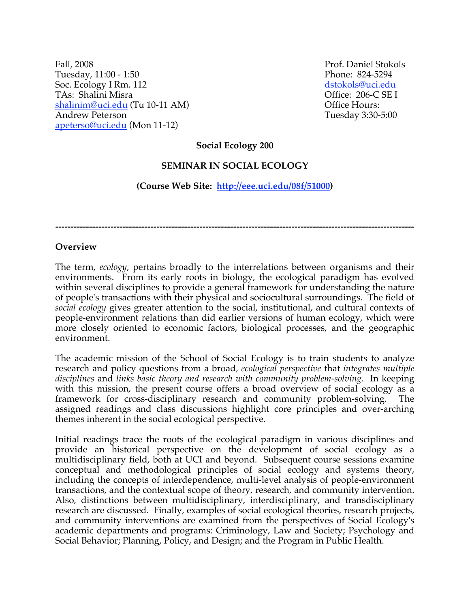Fall, 2008 Prof. Daniel Stokols Tuesday, 11:00 - 1:50 Phone: 824-5294 Soc. Ecology I Rm. 112 dstokols@uci.edu TAs: Shalini Misra **Office:** 206-C SE I shalinim@uci.edu (Tu 10-11 AM) Office Hours: apeterso@uci.edu (Mon 11-12)

Tuesday 3:30-5:00

**Social Ecology 200**

#### **SEMINAR IN SOCIAL ECOLOGY**

**(Course Web Site: http://eee.uci.edu/08f/51000)**

**---------------------------------------------------------------------------------------------------------------------**

#### **Overview**

The term, *ecology*, pertains broadly to the interrelations between organisms and their environments. From its early roots in biology, the ecological paradigm has evolved within several disciplines to provide a general framework for understanding the nature of people's transactions with their physical and sociocultural surroundings. The field of *social ecology* gives greater attention to the social, institutional, and cultural contexts of people-environment relations than did earlier versions of human ecology, which were more closely oriented to economic factors, biological processes, and the geographic environment.

The academic mission of the School of Social Ecology is to train students to analyze research and policy questions from a broad*, ecological perspective* that *integrates multiple disciplines* and *links basic theory and research with community problem-solving*. In keeping with this mission, the present course offers a broad overview of social ecology as a framework for cross-disciplinary research and community problem-solving. assigned readings and class discussions highlight core principles and over-arching themes inherent in the social ecological perspective.

Initial readings trace the roots of the ecological paradigm in various disciplines and provide an historical perspective on the development of social ecology as a multidisciplinary field, both at UCI and beyond. Subsequent course sessions examine conceptual and methodological principles of social ecology and systems theory, including the concepts of interdependence, multi-level analysis of people-environment transactions, and the contextual scope of theory, research, and community intervention. Also, distinctions between multidisciplinary, interdisciplinary, and transdisciplinary research are discussed. Finally, examples of social ecological theories, research projects, and community interventions are examined from the perspectives of Social Ecology's academic departments and programs: Criminology, Law and Society; Psychology and Social Behavior; Planning, Policy, and Design; and the Program in Public Health.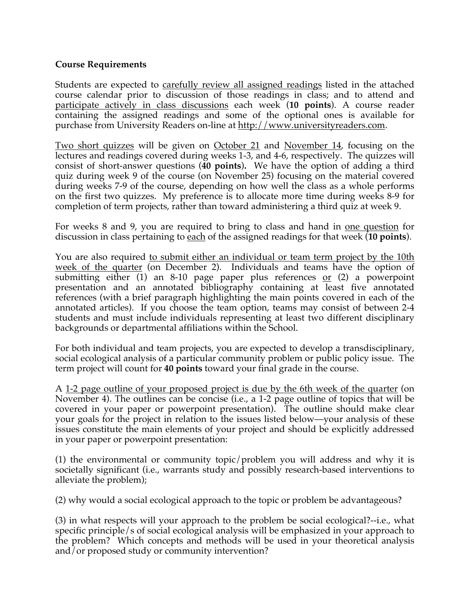# **Course Requirements**

Students are expected to carefully review all assigned readings listed in the attached course calendar prior to discussion of those readings in class; and to attend and participate actively in class discussions each week (**10 points**). A course reader containing the assigned readings and some of the optional ones is available for purchase from University Readers on-line at http://www.universityreaders.com.

Two short quizzes will be given on October 21 and November 14, focusing on the lectures and readings covered during weeks 1-3, and 4-6, respectively. The quizzes will consist of short-answer questions (**40 points**)**.** We have the option of adding a third quiz during week 9 of the course (on November 25) focusing on the material covered during weeks 7-9 of the course, depending on how well the class as a whole performs on the first two quizzes. My preference is to allocate more time during weeks 8-9 for completion of term projects, rather than toward administering a third quiz at week 9.

For weeks 8 and 9, you are required to bring to class and hand in one question for discussion in class pertaining to each of the assigned readings for that week (**10 points**).

You are also required to submit either an individual or team term project by the 10th week of the quarter (on December 2). Individuals and teams have the option of submitting either (1) an 8-10 page paper plus references  $or$  (2) a powerpoint presentation and an annotated bibliography containing at least five annotated references (with a brief paragraph highlighting the main points covered in each of the annotated articles). If you choose the team option, teams may consist of between 2-4 students and must include individuals representing at least two different disciplinary backgrounds or departmental affiliations within the School.

For both individual and team projects, you are expected to develop a transdisciplinary, social ecological analysis of a particular community problem or public policy issue. The term project will count for **40 points** toward your final grade in the course.

A 1-2 page outline of your proposed project is due by the 6th week of the quarter (on November 4). The outlines can be concise (i.e., a 1-2 page outline of topics that will be covered in your paper or powerpoint presentation). The outline should make clear your goals for the project in relation to the issues listed below—your analysis of these issues constitute the main elements of your project and should be explicitly addressed in your paper or powerpoint presentation:

(1) the environmental or community topic/problem you will address and why it is societally significant (i.e., warrants study and possibly research-based interventions to alleviate the problem);

(2) why would a social ecological approach to the topic or problem be advantageous?

(3) in what respects will your approach to the problem be social ecological?--i.e., what specific principle/s of social ecological analysis will be emphasized in your approach to the problem? Which concepts and methods will be used in your theoretical analysis and/or proposed study or community intervention?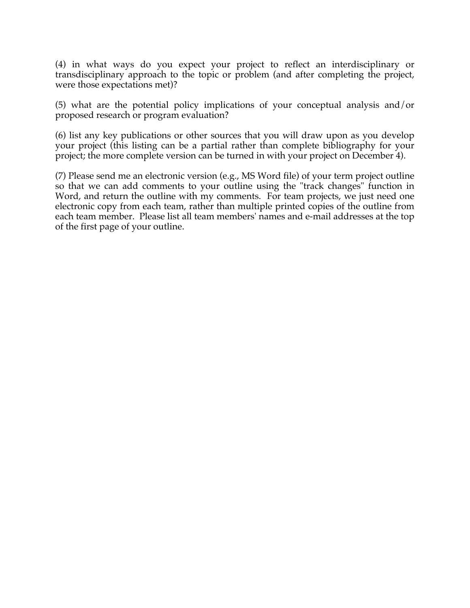(4) in what ways do you expect your project to reflect an interdisciplinary or transdisciplinary approach to the topic or problem (and after completing the project, were those expectations met)?

(5) what are the potential policy implications of your conceptual analysis and/or proposed research or program evaluation?

(6) list any key publications or other sources that you will draw upon as you develop your project (this listing can be a partial rather than complete bibliography for your project; the more complete version can be turned in with your project on December 4).

(7) Please send me an electronic version (e.g., MS Word file) of your term project outline so that we can add comments to your outline using the "track changes" function in Word, and return the outline with my comments. For team projects, we just need one electronic copy from each team, rather than multiple printed copies of the outline from each team member. Please list all team members' names and e-mail addresses at the top of the first page of your outline.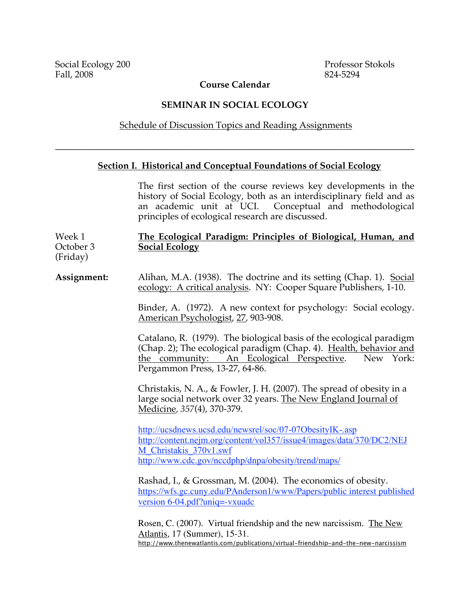**Course Calendar**

# **SEMINAR IN SOCIAL ECOLOGY**

## Schedule of Discussion Topics and Reading Assignments

**\_\_\_\_\_\_\_\_\_\_\_\_\_\_\_\_\_\_\_\_\_\_\_\_\_\_\_\_\_\_\_\_\_\_\_\_\_\_\_\_\_\_\_\_\_\_\_\_\_\_\_\_\_\_\_\_\_\_\_\_\_\_\_\_\_\_\_\_\_\_\_\_\_\_\_\_\_\_** 

#### **Section I. Historical and Conceptual Foundations of Social Ecology**

The first section of the course reviews key developments in the history of Social Ecology, both as an interdisciplinary field and as an academic unit at UCI. Conceptual and methodological principles of ecological research are discussed.

Week 1 **The Ecological Paradigm: Principles of Biological, Human, and Social Ecology** (Friday)

**Assignment:** Alihan, M.A. (1938). The doctrine and its setting (Chap. 1). Social ecology: A critical analysis. NY: Cooper Square Publishers, 1-10.

> Binder, A. (1972). A new context for psychology: Social ecology. American Psychologist, 27, 903-908.

> Catalano, R. (1979). The biological basis of the ecological paradigm (Chap. 2); The ecological paradigm (Chap. 4). Health, behavior and the community: An Ecological Perspective. New York: Pergammon Press, 13-27, 64-86.

Christakis, N. A., & Fowler, J. H. (2007). The spread of obesity in a large social network over 32 years. The New England Journal of Medicine*, 357*(4), 370-379.

http://ucsdnews.ucsd.edu/newsrel/soc/07-07ObesityIK-.asp http://content.nejm.org/content/vol357/issue4/images/data/370/DC2/NEJ M\_Christakis\_370v1.swf http://www.cdc.gov/nccdphp/dnpa/obesity/trend/maps/

Rashad, I., & Grossman, M. (2004). The economics of obesity. https://wfs.gc.cuny.edu/PAnderson1/www/Papers/public interest published version 6-04.pdf?uniq=-vxuadc

Rosen, C. (2007). Virtual friendship and the new narcissism. The New Atlantis, 17 (Summer), 15-31. http://www.thenewatlantis.com/publications/virtual-friendship-and-the-new-narcissism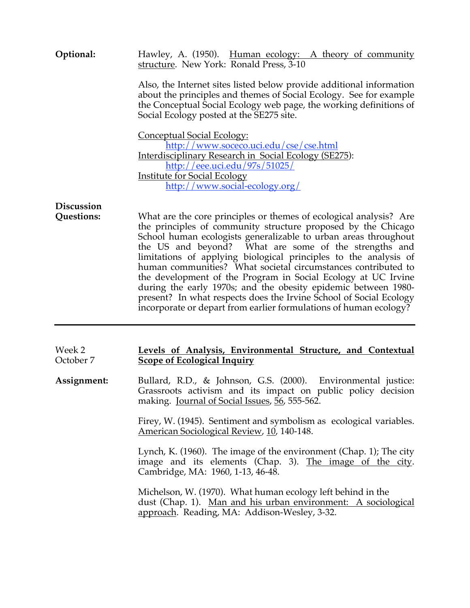| Optional:                              | Hawley, A. (1950). Human ecology: A theory of community<br>structure. New York: Ronald Press, 3-10                                                                                                                                                           |
|----------------------------------------|--------------------------------------------------------------------------------------------------------------------------------------------------------------------------------------------------------------------------------------------------------------|
|                                        | Also, the Internet sites listed below provide additional information<br>about the principles and themes of Social Ecology. See for example<br>the Conceptual Social Ecology web page, the working definitions of<br>Social Ecology posted at the SE275 site. |
|                                        | <b>Conceptual Social Ecology:</b><br>http://www.soceco.uci.edu/cse/cse.html<br>Interdisciplinary Research in Social Ecology (SE275):<br>http://eee.uci.edu/97s/51025/<br><b>Institute for Social Ecology</b><br>http://www.social-ecology.org/               |
| <b>Discussion</b><br><b>Questions:</b> | What are the core principles or themes of ecological analysis? Are                                                                                                                                                                                           |

the principles of community structure proposed by the Chicago School human ecologists generalizable to urban areas throughout the US and beyond? What are some of the strengths and limitations of applying biological principles to the analysis of human communities? What societal circumstances contributed to the development of the Program in Social Ecology at UC Irvine during the early 1970s; and the obesity epidemic between 1980 present? In what respects does the Irvine School of Social Ecology incorporate or depart from earlier formulations of human ecology?

| Week 2    |                             | Levels of Analysis, Environmental Structure, and Contextual |  |  |
|-----------|-----------------------------|-------------------------------------------------------------|--|--|
| October 7 | Scope of Ecological Inquiry |                                                             |  |  |

**Assignment:** Bullard, R.D., & Johnson, G.S. (2000). Environmental justice: Grassroots activism and its impact on public policy decision making. Journal of Social Issues, 56, 555-562.

> Firey, W. (1945). Sentiment and symbolism as ecological variables. American Sociological Review, 10, 140-148.

> Lynch, K. (1960). The image of the environment (Chap. 1); The city image and its elements (Chap. 3). The image of the city. Cambridge, MA: 1960, 1-13, 46-48.

> Michelson, W. (1970). What human ecology left behind in the dust (Chap. 1). Man and his urban environment: A sociological approach. Reading, MA: Addison-Wesley, 3-32.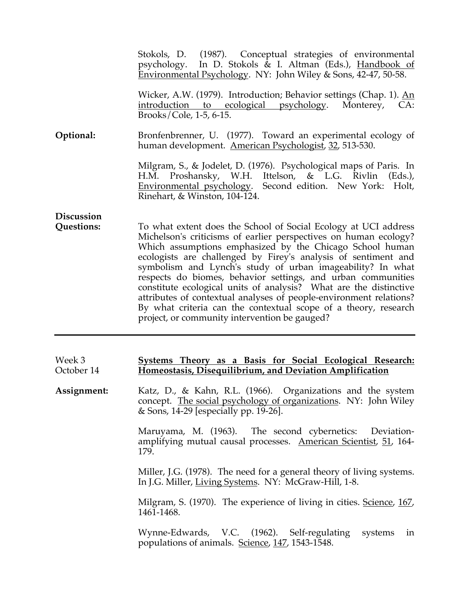|                   | Stokols, D. (1987). Conceptual strategies of environmental<br>psychology. In D. Stokols & I. Altman (Eds.), Handbook of<br>Environmental Psychology. NY: John Wiley & Sons, 42-47, 50-58.                                                                         |
|-------------------|-------------------------------------------------------------------------------------------------------------------------------------------------------------------------------------------------------------------------------------------------------------------|
|                   | Wicker, A.W. (1979). Introduction; Behavior settings (Chap. 1). An<br>introduction to ecological psychology. Monterey, CA:<br>$Brooks/Cole, 1-5, 6-15.$                                                                                                           |
| Optional:         | Bronfenbrenner, U. (1977). Toward an experimental ecology of<br>human development. American Psychologist, 32, 513-530.                                                                                                                                            |
|                   | Milgram, S., & Jodelet, D. (1976). Psychological maps of Paris. In<br>H.M. Proshansky, W.H. Ittelson, & L.G. Rivlin (Eds.),<br>Environmental psychology. Second edition. New York: Holt,<br>Rinehart, & Winston, 104-124.                                         |
| <b>Discussion</b> |                                                                                                                                                                                                                                                                   |
| Questions:        | To what extent does the School of Social Ecology at UCI address<br>Michelson's criticisms of earlier perspectives on human ecology?<br>Which assumptions emphasized by the Chicago School human<br>ecologists are challenged by Firey's analysis of sentiment and |

Week 3 **Systems Theory as a Basis for Social Ecological Research:**  October 14 **Homeostasis, Disequilibrium, and Deviation Amplification**

project, or community intervention be gauged?

**Assignment:** Katz, D., & Kahn, R.L. (1966). Organizations and the system concept. The social psychology of organizations. NY: John Wiley & Sons, 14-29 [especially pp. 19-26].

> Maruyama, M. (1963). The second cybernetics: Deviationamplifying mutual causal processes. American Scientist, 51, 164- 179.

> symbolism and Lynch's study of urban imageability? In what respects do biomes, behavior settings, and urban communities constitute ecological units of analysis? What are the distinctive attributes of contextual analyses of people-environment relations? By what criteria can the contextual scope of a theory, research

> Miller, J.G. (1978). The need for a general theory of living systems. In J.G. Miller, Living Systems. NY: McGraw-Hill, 1-8.

> Milgram, S. (1970). The experience of living in cities. Science, 167, 1461-1468.

> Wynne-Edwards, V.C. (1962). Self-regulating systems in populations of animals. Science, 147, 1543-1548.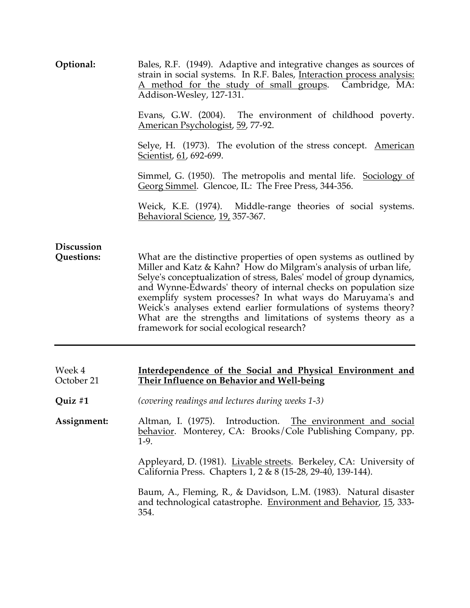| Week 4<br>October 21            | Interdependence of the Social and Physical Environment and<br><b>Their Influence on Behavior and Well-being</b>                                                                                                                                                                                                                                                                                                                                                                                                                  |
|---------------------------------|----------------------------------------------------------------------------------------------------------------------------------------------------------------------------------------------------------------------------------------------------------------------------------------------------------------------------------------------------------------------------------------------------------------------------------------------------------------------------------------------------------------------------------|
| <b>Discussion</b><br>Questions: | What are the distinctive properties of open systems as outlined by<br>Miller and Katz & Kahn? How do Milgram's analysis of urban life,<br>Selye's conceptualization of stress, Bales' model of group dynamics,<br>and Wynne-Edwards' theory of internal checks on population size<br>exemplify system processes? In what ways do Maruyama's and<br>Weick's analyses extend earlier formulations of systems theory?<br>What are the strengths and limitations of systems theory as a<br>framework for social ecological research? |
|                                 | Weick, K.E. (1974). Middle-range theories of social systems.<br>Behavioral Science, 19, 357-367.                                                                                                                                                                                                                                                                                                                                                                                                                                 |
|                                 | Simmel, G. (1950). The metropolis and mental life. Sociology of<br>Georg Simmel. Glencoe, IL: The Free Press, 344-356.                                                                                                                                                                                                                                                                                                                                                                                                           |
|                                 | Selye, H. (1973). The evolution of the stress concept. American<br>Scientist, 61, 692-699.                                                                                                                                                                                                                                                                                                                                                                                                                                       |
|                                 | Evans, G.W. (2004). The environment of childhood poverty.<br>American Psychologist, 59, 77-92.                                                                                                                                                                                                                                                                                                                                                                                                                                   |
| Optional:                       | Bales, R.F. (1949). Adaptive and integrative changes as sources of<br>strain in social systems. In R.F. Bales, Interaction process analysis:<br>A method for the study of small groups. Cambridge, MA:<br>Addison-Wesley, 127-131.                                                                                                                                                                                                                                                                                               |

**Quiz #1** *(covering readings and lectures during weeks 1-3)* 

**Assignment:** Altman, I. (1975). Introduction. The environment and social behavior. Monterey, CA: Brooks/Cole Publishing Company, pp. 1-9.

> Appleyard, D. (1981). Livable streets. Berkeley, CA: University of California Press. Chapters 1, 2 & 8 (15-28, 29-40, 139-144).

> Baum, A., Fleming, R., & Davidson, L.M. (1983). Natural disaster and technological catastrophe. Environment and Behavior, 15, 333- 354.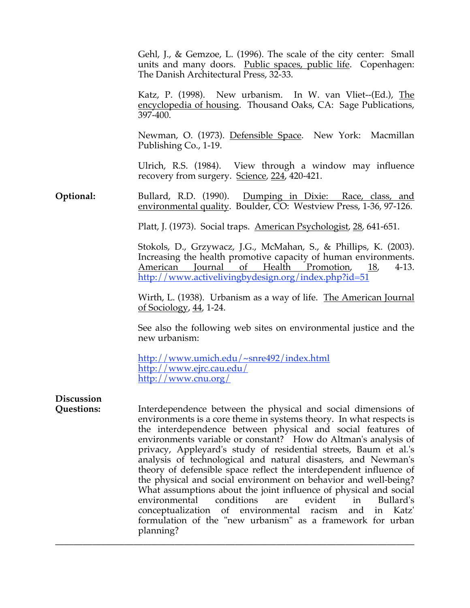Gehl, J., & Gemzoe, L. (1996). The scale of the city center: Small units and many doors. Public spaces, public life. Copenhagen: The Danish Architectural Press, 32-33.

Katz, P. (1998). New urbanism. In W. van Vliet--(Ed.), The encyclopedia of housing. Thousand Oaks, CA: Sage Publications, 397-400.

Newman, O. (1973). Defensible Space. New York: Macmillan Publishing Co., 1-19.

Ulrich, R.S. (1984). View through a window may influence recovery from surgery. Science, 224, 420-421.

**Optional:** Bullard, R.D. (1990). Dumping in Dixie: Race, class, and environmental quality. Boulder, CO: Westview Press, 1-36, 97-126.

Platt, J. (1973). Social traps. American Psychologist, 28, 641-651.

Stokols, D., Grzywacz, J.G., McMahan, S., & Phillips, K. (2003). Increasing the health promotive capacity of human environments.<br>American Iournal of Health Promotion. 18. 4-13. American Journal of Health Promotion, 18, http://www.activelivingbydesign.org/index.php?id=51

Wirth, L. (1938). Urbanism as a way of life. The American Journal of Sociology, 44, 1-24.

See also the following web sites on environmental justice and the new urbanism:

http://www.umich.edu/~snre492/index.html http://www.ejrc.cau.edu/ http://www.cnu.org/

**Discussion**

**Questions:** Interdependence between the physical and social dimensions of environments is a core theme in systems theory. In what respects is the interdependence between physical and social features of environments variable or constant? How do Altman's analysis of privacy, Appleyard's study of residential streets, Baum et al.'s analysis of technological and natural disasters, and Newman's theory of defensible space reflect the interdependent influence of the physical and social environment on behavior and well-being? What assumptions about the joint influence of physical and social environmental conditions are evident in Bullard's conceptualization of environmental racism and in Katz' formulation of the "new urbanism" as a framework for urban planning? \_\_\_\_\_\_\_\_\_\_\_\_\_\_\_\_\_\_\_\_\_\_\_\_\_\_\_\_\_\_\_\_\_\_\_\_\_\_\_\_\_\_\_\_\_\_\_\_\_\_\_\_\_\_\_\_\_\_\_\_\_\_\_\_\_\_\_\_\_\_\_\_\_\_\_\_\_\_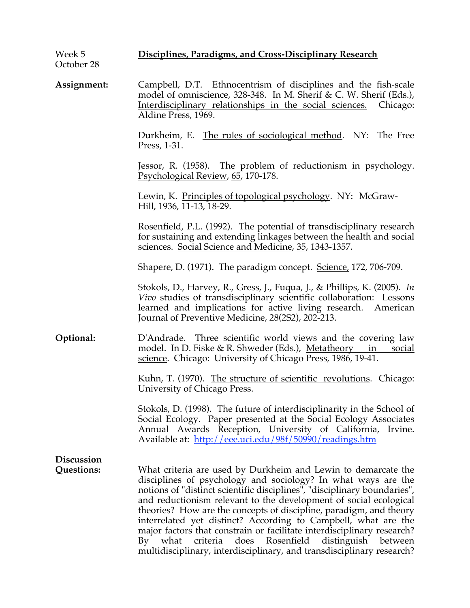| Week 5<br>October 28     | Disciplines, Paradigms, and Cross-Disciplinary Research                                                                                                                                                                                                                                                                                                                                                                                                                                                                                                                                                                            |
|--------------------------|------------------------------------------------------------------------------------------------------------------------------------------------------------------------------------------------------------------------------------------------------------------------------------------------------------------------------------------------------------------------------------------------------------------------------------------------------------------------------------------------------------------------------------------------------------------------------------------------------------------------------------|
| Assignment:              | Campbell, D.T. Ethnocentrism of disciplines and the fish-scale<br>model of omniscience, 328-348. In M. Sherif & C. W. Sherif (Eds.),<br>Interdisciplinary relationships in the social sciences.<br>Chicago:<br>Aldine Press, 1969.                                                                                                                                                                                                                                                                                                                                                                                                 |
|                          | Durkheim, E. The rules of sociological method. NY: The Free<br>Press, 1-31.                                                                                                                                                                                                                                                                                                                                                                                                                                                                                                                                                        |
|                          | Jessor, R. (1958). The problem of reductionism in psychology.<br>Psychological Review, 65, 170-178.                                                                                                                                                                                                                                                                                                                                                                                                                                                                                                                                |
|                          | Lewin, K. Principles of topological psychology. NY: McGraw-<br>Hill, 1936, 11-13, 18-29.                                                                                                                                                                                                                                                                                                                                                                                                                                                                                                                                           |
|                          | Rosenfield, P.L. (1992). The potential of transdisciplinary research<br>for sustaining and extending linkages between the health and social<br>sciences. Social Science and Medicine, 35, 1343-1357.                                                                                                                                                                                                                                                                                                                                                                                                                               |
|                          | Shapere, D. (1971). The paradigm concept. Science, 172, 706-709.                                                                                                                                                                                                                                                                                                                                                                                                                                                                                                                                                                   |
|                          | Stokols, D., Harvey, R., Gress, J., Fuqua, J., & Phillips, K. (2005). In<br>Vivo studies of transdisciplinary scientific collaboration: Lessons<br>learned and implications for active living research. American<br>Journal of Preventive Medicine, 28(2S2), 202-213.                                                                                                                                                                                                                                                                                                                                                              |
| Optional:                | D'Andrade. Three scientific world views and the covering law<br>model. In D. Fiske & R. Shweder (Eds.), Metatheory in<br>social<br>science. Chicago: University of Chicago Press, 1986, 19-41.                                                                                                                                                                                                                                                                                                                                                                                                                                     |
|                          | Kuhn, T. (1970). The structure of scientific revolutions. Chicago:<br>University of Chicago Press.                                                                                                                                                                                                                                                                                                                                                                                                                                                                                                                                 |
|                          | Stokols, D. (1998). The future of interdisciplinarity in the School of<br>Social Ecology. Paper presented at the Social Ecology Associates<br>Annual Awards Reception, University of California, Irvine.<br>Available at: http://eee.uci.edu/98f/50990/readings.htm                                                                                                                                                                                                                                                                                                                                                                |
| Discussion<br>Questions: | What criteria are used by Durkheim and Lewin to demarcate the<br>disciplines of psychology and sociology? In what ways are the<br>notions of "distinct scientific disciplines", "disciplinary boundaries",<br>and reductionism relevant to the development of social ecological<br>theories? How are the concepts of discipline, paradigm, and theory<br>interrelated yet distinct? According to Campbell, what are the<br>major factors that constrain or facilitate interdisciplinary research?<br>By what criteria does Rosenfield distinguish between<br>multidisciplinary, interdisciplinary, and transdisciplinary research? |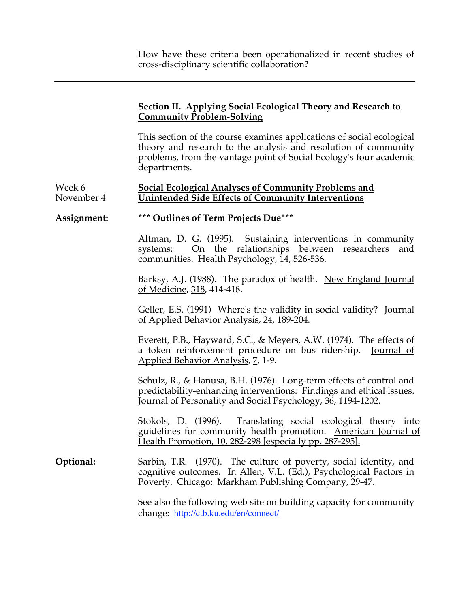How have these criteria been operationalized in recent studies of cross-disciplinary scientific collaboration?

## **Section II. Applying Social Ecological Theory and Research to Community Problem-Solving**

This section of the course examines applications of social ecological theory and research to the analysis and resolution of community problems, from the vantage point of Social Ecology's four academic departments.

## Week 6 **Social Ecological Analyses of Community Problems and <br>November 4 <b>Unintended Side Effects of Community Interventions Unintended Side Effects of Community Interventions**

# **Assignment: \*\*\* Outlines of Term Projects Due\*\*\***

Altman, D. G. (1995). Sustaining interventions in community systems: On the relationships between researchers and communities. Health Psychology, 14, 526-536.

Barksy, A.J. (1988). The paradox of health. New England Journal of Medicine, 318, 414-418.

Geller, E.S. (1991) Where's the validity in social validity? Journal of Applied Behavior Analysis, 24, 189-204.

Everett, P.B., Hayward, S.C., & Meyers, A.W. (1974). The effects of a token reinforcement procedure on bus ridership. Journal of Applied Behavior Analysis, Z, 1-9.

Schulz, R., & Hanusa, B.H. (1976). Long-term effects of control and predictability-enhancing interventions: Findings and ethical issues. Journal of Personality and Social Psychology, 36, 1194-1202.

Stokols, D. (1996). Translating social ecological theory into guidelines for community health promotion. American Journal of Health Promotion, 10, 282-298 [especially pp. 287-295].

# **Optional:** Sarbin, T.R. (1970). The culture of poverty, social identity, and cognitive outcomes. In Allen, V.L. (Ed.), Psychological Factors in Poverty. Chicago: Markham Publishing Company, 29-47.

See also the following web site on building capacity for community change: http://ctb.ku.edu/en/connect/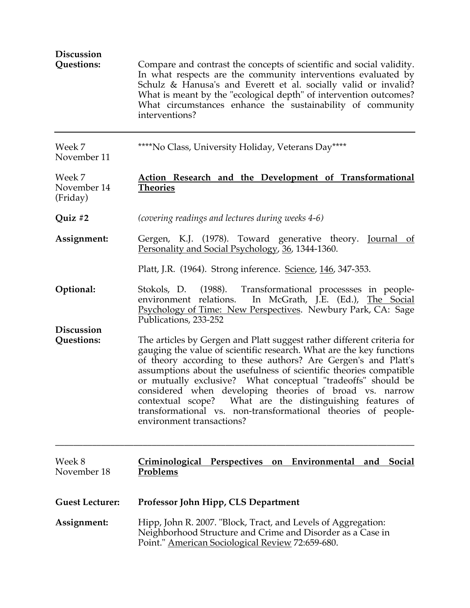| Discussion<br>Questions:          | Compare and contrast the concepts of scientific and social validity.<br>In what respects are the community interventions evaluated by<br>Schulz & Hanusa's and Everett et al. socially valid or invalid?<br>What is meant by the "ecological depth" of intervention outcomes?<br>What circumstances enhance the sustainability of community<br>interventions?                                                                                                                                                                                                                |
|-----------------------------------|------------------------------------------------------------------------------------------------------------------------------------------------------------------------------------------------------------------------------------------------------------------------------------------------------------------------------------------------------------------------------------------------------------------------------------------------------------------------------------------------------------------------------------------------------------------------------|
| Week 7<br>November 11             | ****No Class, University Holiday, Veterans Day****                                                                                                                                                                                                                                                                                                                                                                                                                                                                                                                           |
| Week 7<br>November 14<br>(Friday) | Action Research and the Development of Transformational<br><b>Theories</b>                                                                                                                                                                                                                                                                                                                                                                                                                                                                                                   |
| Quiz #2                           | (covering readings and lectures during weeks 4-6)                                                                                                                                                                                                                                                                                                                                                                                                                                                                                                                            |
| Assignment:                       | Gergen, K.J. (1978). Toward generative theory. Journal of<br>Personality and Social Psychology, 36, 1344-1360.                                                                                                                                                                                                                                                                                                                                                                                                                                                               |
|                                   | Platt, J.R. (1964). Strong inference. Science, 146, 347-353.                                                                                                                                                                                                                                                                                                                                                                                                                                                                                                                 |
| Optional:                         | Stokols, D. (1988). Transformational processses in people-<br>In McGrath, J.E. (Ed.), The Social<br>environment relations.<br><b>Psychology of Time: New Perspectives. Newbury Park, CA: Sage</b><br>Publications, 233-252                                                                                                                                                                                                                                                                                                                                                   |
| <b>Discussion</b><br>Questions:   | The articles by Gergen and Platt suggest rather different criteria for<br>gauging the value of scientific research. What are the key functions<br>of theory according to these authors? Are Gergen's and Platt's<br>assumptions about the usefulness of scientific theories compatible<br>or mutually exclusive? What conceptual "tradeoffs" should be<br>considered when developing theories of broad vs. narrow<br>contextual scope? What are the distinguishing features of<br>transformational vs. non-transformational theories of people-<br>environment transactions? |
| Week 8<br>November 18             | <u>Criminological Perspectives on Environmental and Social</u><br><b>Problems</b>                                                                                                                                                                                                                                                                                                                                                                                                                                                                                            |
| <b>Guest Lecturer:</b>            | Professor John Hipp, CLS Department                                                                                                                                                                                                                                                                                                                                                                                                                                                                                                                                          |
| Assignment:                       | Hipp, John R. 2007. "Block, Tract, and Levels of Aggregation:<br>Neighborhood Structure and Crime and Disorder as a Case in<br>Point." American Sociological Review 72:659-680.                                                                                                                                                                                                                                                                                                                                                                                              |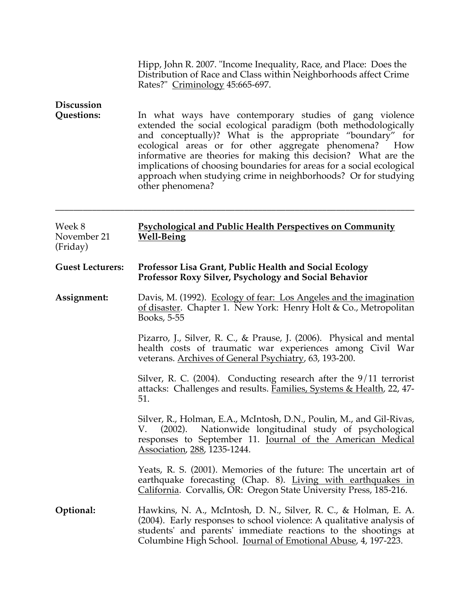|                                   | Hipp, John R. 2007. "Income Inequality, Race, and Place: Does the<br>Distribution of Race and Class within Neighborhoods affect Crime<br>Rates?" Criminology 45:665-697.                                                                                                                                                                                                                                                                                                              |
|-----------------------------------|---------------------------------------------------------------------------------------------------------------------------------------------------------------------------------------------------------------------------------------------------------------------------------------------------------------------------------------------------------------------------------------------------------------------------------------------------------------------------------------|
| <b>Discussion</b><br>Questions:   | In what ways have contemporary studies of gang violence<br>extended the social ecological paradigm (both methodologically<br>and conceptually)? What is the appropriate "boundary" for<br>ecological areas or for other aggregate phenomena?<br>How<br>informative are theories for making this decision? What are the<br>implications of choosing boundaries for areas for a social ecological<br>approach when studying crime in neighborhoods? Or for studying<br>other phenomena? |
| Week 8<br>November 21<br>(Friday) | <b>Psychological and Public Health Perspectives on Community</b><br><b>Well-Being</b>                                                                                                                                                                                                                                                                                                                                                                                                 |
| <b>Guest Lecturers:</b>           | Professor Lisa Grant, Public Health and Social Ecology<br>Professor Roxy Silver, Psychology and Social Behavior                                                                                                                                                                                                                                                                                                                                                                       |
| Assignment:                       | Davis, M. (1992). Ecology of fear: Los Angeles and the imagination<br>of disaster. Chapter 1. New York: Henry Holt & Co., Metropolitan<br>Books, 5-55                                                                                                                                                                                                                                                                                                                                 |
|                                   | Pizarro, J., Silver, R. C., & Prause, J. (2006). Physical and mental<br>health costs of traumatic war experiences among Civil War<br>veterans. Archives of General Psychiatry, 63, 193-200.                                                                                                                                                                                                                                                                                           |
|                                   | Silver, R. C. $(2004)$ . Conducting research after the $9/11$ terrorist<br>attacks: Challenges and results. Families, Systems & Health, 22, 47-<br>51.                                                                                                                                                                                                                                                                                                                                |
|                                   | Silver, R., Holman, E.A., McIntosh, D.N., Poulin, M., and Gil-Rivas,<br>Nationwide longitudinal study of psychological<br>V.<br>(2002).<br>responses to September 11. Journal of the American Medical<br>Association, 288, 1235-1244.                                                                                                                                                                                                                                                 |
|                                   | Yeats, R. S. (2001). Memories of the future: The uncertain art of<br>earthquake forecasting (Chap. 8). Living with earthquakes in<br>California. Corvallis, OR: Oregon State University Press, 185-216.                                                                                                                                                                                                                                                                               |
| Optional:                         | Hawkins, N. A., McIntosh, D. N., Silver, R. C., & Holman, E. A.<br>(2004). Early responses to school violence: A qualitative analysis of<br>students' and parents' immediate reactions to the shootings at<br>Columbine High School. Journal of Emotional Abuse, 4, 197-223.                                                                                                                                                                                                          |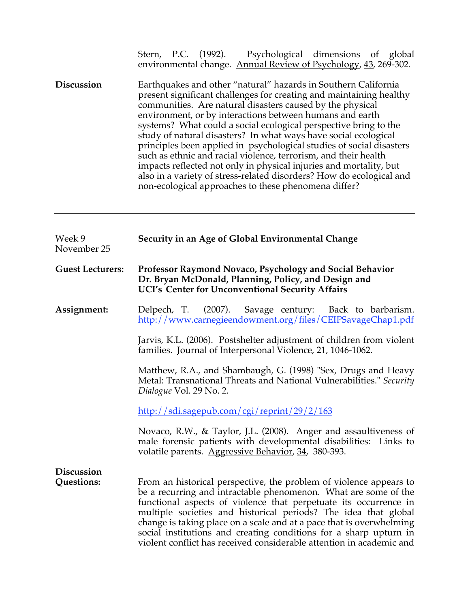|                          | Stern, P.C. (1992). Psychological dimensions of global<br>environmental change. Annual Review of Psychology, 43, 269-302.                                                                                                                                                                                                                                                                                                                                                                                                                                                                                                                                                                                                                              |
|--------------------------|--------------------------------------------------------------------------------------------------------------------------------------------------------------------------------------------------------------------------------------------------------------------------------------------------------------------------------------------------------------------------------------------------------------------------------------------------------------------------------------------------------------------------------------------------------------------------------------------------------------------------------------------------------------------------------------------------------------------------------------------------------|
| <b>Discussion</b>        | Earthquakes and other "natural" hazards in Southern California<br>present significant challenges for creating and maintaining healthy<br>communities. Are natural disasters caused by the physical<br>environment, or by interactions between humans and earth<br>systems? What could a social ecological perspective bring to the<br>study of natural disasters? In what ways have social ecological<br>principles been applied in psychological studies of social disasters<br>such as ethnic and racial violence, terrorism, and their health<br>impacts reflected not only in physical injuries and mortality, but<br>also in a variety of stress-related disorders? How do ecological and<br>non-ecological approaches to these phenomena differ? |
| Week 9<br>November 25    | <b>Security in an Age of Global Environmental Change</b>                                                                                                                                                                                                                                                                                                                                                                                                                                                                                                                                                                                                                                                                                               |
| <b>Guest Lecturers:</b>  | Professor Raymond Novaco, Psychology and Social Behavior<br>Dr. Bryan McDonald, Planning, Policy, and Design and<br><b>UCI's Center for Unconventional Security Affairs</b>                                                                                                                                                                                                                                                                                                                                                                                                                                                                                                                                                                            |
| Assignment:              | Delpech, T.<br>(2007). Savage century: Back to barbarism.<br>http://www.carnegieendowment.org/files/CEIPSavageChap1.pdf                                                                                                                                                                                                                                                                                                                                                                                                                                                                                                                                                                                                                                |
|                          | Jarvis, K.L. (2006). Postshelter adjustment of children from violent<br>families. Journal of Interpersonal Violence, 21, 1046-1062.                                                                                                                                                                                                                                                                                                                                                                                                                                                                                                                                                                                                                    |
|                          | Matthew, R.A., and Shambaugh, G. (1998) "Sex, Drugs and Heavy<br>Metal: Transnational Threats and National Vulnerabilities." Security<br>Dialogue Vol. 29 No. 2.                                                                                                                                                                                                                                                                                                                                                                                                                                                                                                                                                                                       |
|                          | http://sdi.sagepub.com/cgi/reprint/29/2/163                                                                                                                                                                                                                                                                                                                                                                                                                                                                                                                                                                                                                                                                                                            |
|                          | Novaco, R.W., & Taylor, J.L. (2008). Anger and assaultiveness of<br>male forensic patients with developmental disabilities: Links to<br>volatile parents. Aggressive Behavior, 34, 380-393.                                                                                                                                                                                                                                                                                                                                                                                                                                                                                                                                                            |
| Discussion<br>Questions: | From an historical perspective, the problem of violence appears to<br>be a recurring and intractable phenomenon. What are some of the<br>functional aspects of violence that perpetuate its occurrence in<br>multiple societies and historical periods? The idea that global<br>change is taking place on a scale and at a pace that is overwhelming<br>social institutions and creating conditions for a sharp upturn in<br>violent conflict has received considerable attention in academic and                                                                                                                                                                                                                                                      |